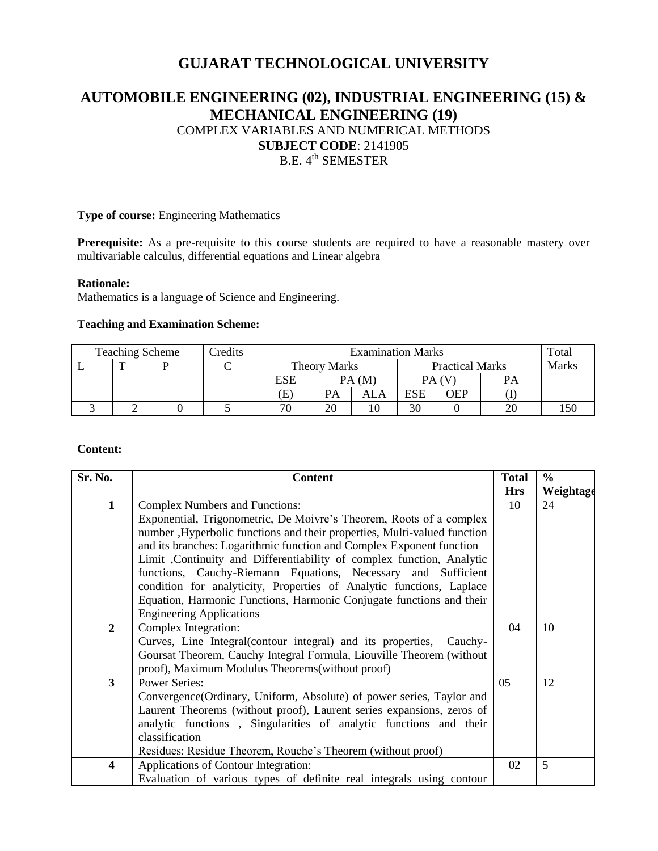# **GUJARAT TECHNOLOGICAL UNIVERSITY**

# **AUTOMOBILE ENGINEERING (02), INDUSTRIAL ENGINEERING (15) & MECHANICAL ENGINEERING (19)** COMPLEX VARIABLES AND NUMERICAL METHODS **SUBJECT CODE**: 2141905 B.E. 4<sup>th</sup> SEMESTER

### **Type of course:** Engineering Mathematics

Prerequisite: As a pre-requisite to this course students are required to have a reasonable mastery over multivariable calculus, differential equations and Linear algebra

#### **Rationale:**

Mathematics is a language of Science and Engineering.

#### **Teaching and Examination Scheme:**

| <b>Teaching Scheme</b><br>Credits |  |  | <b>Examination Marks</b> |                                               |       |     |            | Total |    |  |
|-----------------------------------|--|--|--------------------------|-----------------------------------------------|-------|-----|------------|-------|----|--|
|                                   |  |  |                          | <b>Practical Marks</b><br><b>Theory Marks</b> |       |     | Marks      |       |    |  |
|                                   |  |  |                          | ESE                                           | PA(M) |     |            |       | PA |  |
|                                   |  |  |                          | Œ                                             | PА    | ALA | <b>ESE</b> | OEP   |    |  |
|                                   |  |  |                          | 70                                            | 20    |     | 30         |       | 20 |  |

### **Content:**

| Sr. No.        | <b>Content</b>                                                           |            | $\frac{0}{0}$ |
|----------------|--------------------------------------------------------------------------|------------|---------------|
|                |                                                                          | <b>Hrs</b> | Weightage     |
| $\mathbf{1}$   | <b>Complex Numbers and Functions:</b>                                    | 10         | 24            |
|                | Exponential, Trigonometric, De Moivre's Theorem, Roots of a complex      |            |               |
|                | number, Hyperbolic functions and their properties, Multi-valued function |            |               |
|                | and its branches: Logarithmic function and Complex Exponent function     |            |               |
|                | Limit , Continuity and Differentiability of complex function, Analytic   |            |               |
|                | functions, Cauchy-Riemann Equations, Necessary and Sufficient            |            |               |
|                | condition for analyticity, Properties of Analytic functions, Laplace     |            |               |
|                | Equation, Harmonic Functions, Harmonic Conjugate functions and their     |            |               |
|                | <b>Engineering Applications</b>                                          |            |               |
| $\overline{2}$ | Complex Integration:                                                     | 04         | 10            |
|                | Curves, Line Integral (contour integral) and its properties,<br>Cauchy-  |            |               |
|                | Goursat Theorem, Cauchy Integral Formula, Liouville Theorem (without     |            |               |
|                | proof), Maximum Modulus Theorems (without proof)                         |            |               |
| $\mathbf{3}$   | <b>Power Series:</b>                                                     | 05         | 12            |
|                | Convergence (Ordinary, Uniform, Absolute) of power series, Taylor and    |            |               |
|                | Laurent Theorems (without proof), Laurent series expansions, zeros of    |            |               |
|                | analytic functions, Singularities of analytic functions and their        |            |               |
|                | classification                                                           |            |               |
|                | Residues: Residue Theorem, Rouche's Theorem (without proof)              |            |               |
| 4              | Applications of Contour Integration:                                     | 02         | 5             |
|                | Evaluation of various types of definite real integrals using contour     |            |               |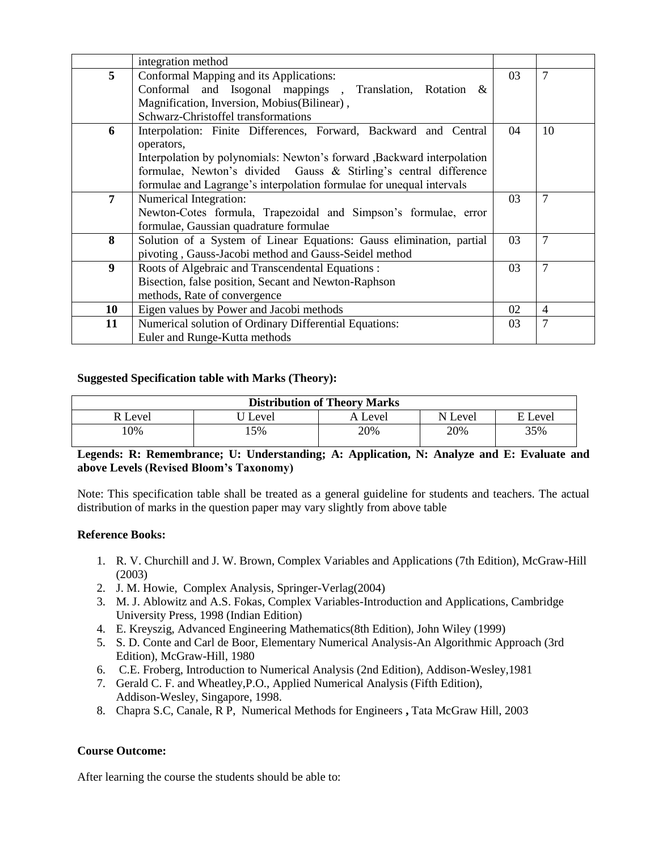|    | integration method                                                      |    |                |
|----|-------------------------------------------------------------------------|----|----------------|
| 5  | Conformal Mapping and its Applications:                                 | 03 | 7              |
|    | Conformal and Isogonal mappings, Translation, Rotation &                |    |                |
|    | Magnification, Inversion, Mobius(Bilinear),                             |    |                |
|    | Schwarz-Christoffel transformations                                     |    |                |
| 6  | Interpolation: Finite Differences, Forward, Backward and Central        | 04 | 10             |
|    | operators,                                                              |    |                |
|    | Interpolation by polynomials: Newton's forward , Backward interpolation |    |                |
|    | formulae, Newton's divided Gauss & Stirling's central difference        |    |                |
|    | formulae and Lagrange's interpolation formulae for unequal intervals    |    |                |
| 7  | Numerical Integration:                                                  | 03 | $\overline{7}$ |
|    | Newton-Cotes formula, Trapezoidal and Simpson's formulae, error         |    |                |
|    | formulae, Gaussian quadrature formulae                                  |    |                |
| 8  | Solution of a System of Linear Equations: Gauss elimination, partial    | 03 | $\overline{7}$ |
|    | pivoting, Gauss-Jacobi method and Gauss-Seidel method                   |    |                |
| 9  | Roots of Algebraic and Transcendental Equations :                       | 03 | $\overline{7}$ |
|    | Bisection, false position, Secant and Newton-Raphson                    |    |                |
|    | methods, Rate of convergence                                            |    |                |
| 10 | Eigen values by Power and Jacobi methods                                | 02 | 4              |
| 11 | Numerical solution of Ordinary Differential Equations:                  | 03 | $\overline{7}$ |
|    | Euler and Runge-Kutta methods                                           |    |                |

## **Suggested Specification table with Marks (Theory):**

| <b>Distribution of Theory Marks</b> |       |         |       |       |  |  |  |
|-------------------------------------|-------|---------|-------|-------|--|--|--|
| R Level                             | Level | A Level | Level | Level |  |  |  |
| 10%                                 | 15%   | 20%     | 20%   | 35%   |  |  |  |

## **Legends: R: Remembrance; U: Understanding; A: Application, N: Analyze and E: Evaluate and above Levels (Revised Bloom's Taxonomy)**

Note: This specification table shall be treated as a general guideline for students and teachers. The actual distribution of marks in the question paper may vary slightly from above table

## **Reference Books:**

- 1. R. V. Churchill and J. W. Brown, Complex Variables and Applications (7th Edition), McGraw-Hill (2003)
- 2. J. M. Howie, Complex Analysis, Springer-Verlag(2004)
- 3. M. J. Ablowitz and A.S. Fokas, Complex Variables-Introduction and Applications, Cambridge University Press, 1998 (Indian Edition)
- 4. E. Kreyszig, Advanced Engineering Mathematics(8th Edition), John Wiley (1999)
- 5. S. D. Conte and Carl de Boor, Elementary Numerical Analysis-An Algorithmic Approach (3rd Edition), McGraw-Hill, 1980
- 6. C.E. Froberg, Introduction to Numerical Analysis (2nd Edition), Addison-Wesley,1981
- 7. Gerald C. F. and Wheatley,P.O., Applied Numerical Analysis (Fifth Edition), Addison-Wesley, Singapore, 1998.
- 8. Chapra S.C, Canale, R P, Numerical Methods for Engineers **,** Tata McGraw Hill, 2003

## **Course Outcome:**

After learning the course the students should be able to: